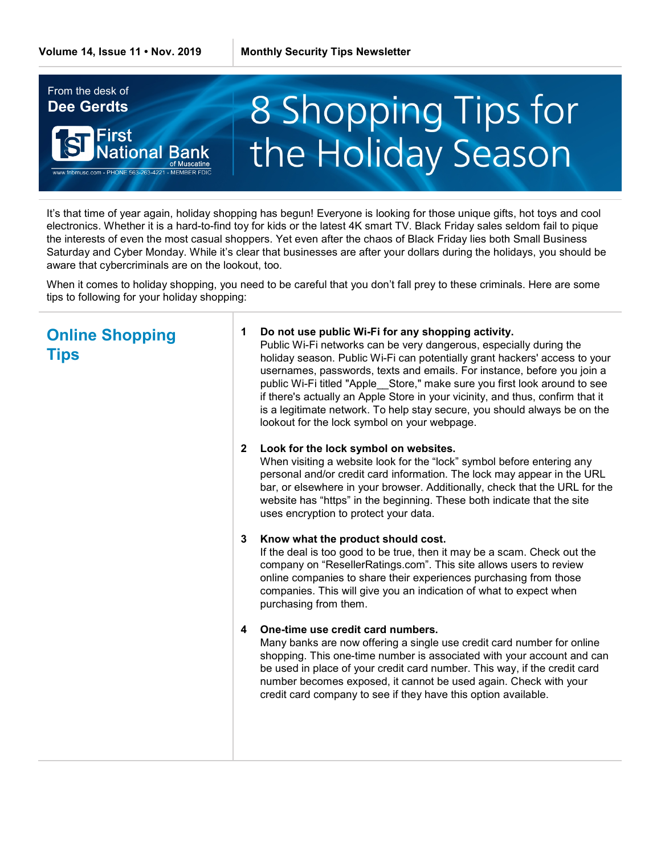

It's that time of year again, holiday shopping has begun! Everyone is looking for those unique gifts, hot toys and cool electronics. Whether it is a hard-to-find toy for kids or the latest 4K smart TV. Black Friday sales seldom fail to pique the interests of even the most casual shoppers. Yet even after the chaos of Black Friday lies both Small Business Saturday and Cyber Monday. While it's clear that businesses are after your dollars during the holidays, you should be aware that cybercriminals are on the lookout, too.

When it comes to holiday shopping, you need to be careful that you don't fall prey to these criminals. Here are some tips to following for your holiday shopping:

# **Online Shopping Tips**

### **1 Do not use public Wi-Fi for any shopping activity.**

Public Wi-Fi networks can be very dangerous, especially during the holiday season. Public Wi-Fi can potentially grant hackers' access to your usernames, passwords, texts and emails. For instance, before you join a public Wi-Fi titled "Apple\_\_Store," make sure you first look around to see if there's actually an Apple Store in your vicinity, and thus, confirm that it is a legitimate network. To help stay secure, you should always be on the lookout for the lock symbol on your webpage.

## **2 Look for the lock symbol on websites.**

When visiting a website look for the "lock" symbol before entering any personal and/or credit card information. The lock may appear in the URL bar, or elsewhere in your browser. Additionally, check that the URL for the website has "https" in the beginning. These both indicate that the site uses encryption to protect your data.

## **3 Know what the product should cost.**

If the deal is too good to be true, then it may be a scam. Check out the company on "ResellerRatings.com". This site allows users to review online companies to share their experiences purchasing from those companies. This will give you an indication of what to expect when purchasing from them.

## **4 One-time use credit card numbers.**

Many banks are now offering a single use credit card number for online shopping. This one-time number is associated with your account and can be used in place of your credit card number. This way, if the credit card number becomes exposed, it cannot be used again. Check with your credit card company to see if they have this option available.